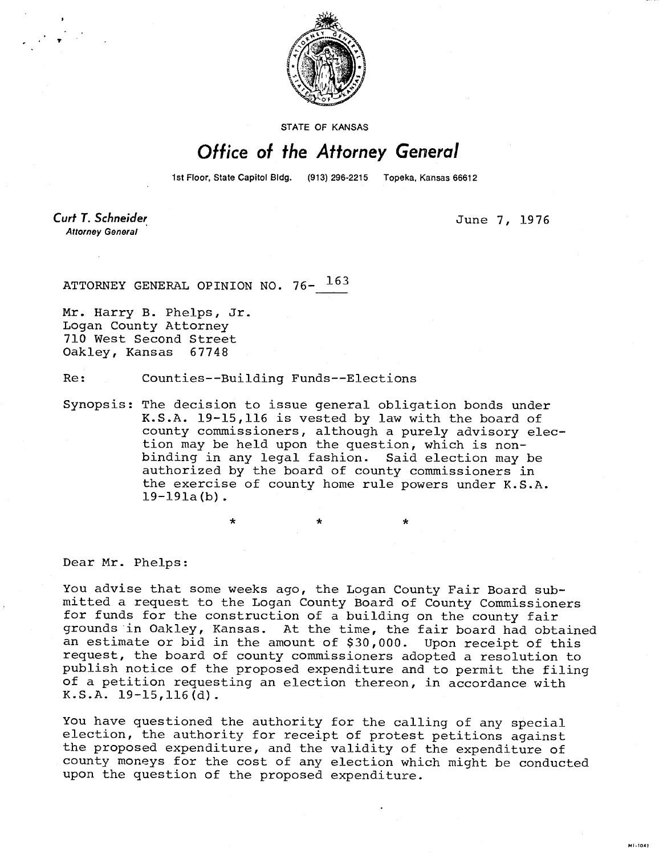

STATE OF KANSAS

## Office of the Attorney General

1st Floor, State Capitol Bldg. (913) 296-2215 Topeka, Kansas 66612

Curt T. Schneider **Attorney General** 

June 7, 1976

MI-1043

ATTORNEY GENERAL OPINION NO. 76- 163

Mr. Harry B. Phelps, Jr. Logan County Attorney 710 West Second Street Oakley, Kansas 67748

Re: Counties--Building Funds--Elections

Synopsis: The decision to issue general obligation bonds under K.S.A. 19-15,116 is vested by law with the board of county commissioners, although a purely advisory election may be held upon the question, which is nonbinding in any legal fashion. Said election may be authorized by the board of county commissioners in the exercise of county home rule powers under K.S.A.  $19-191a(b)$ .

Dear Mr. Phelps:

You advise that some weeks ago, the Logan County Fair Board submitted a request to the Logan County Board of County Commissioners for funds for the construction of a building on the county fair grounds in Oakley, Kansas. At the time, the fair board had obtained an estimate or bid in the amount of \$30,000. Upon receipt of this request, the board of county commissioners adopted a resolution to publish notice of the proposed expenditure and to permit the filing of a petition requesting an election thereon, in accordance with K.S.A. 19-15,116(d).

You have questioned the authority for the calling of any special election, the authority for receipt of protest petitions against the proposed expenditure, and the validity of the expenditure of county moneys for the cost of any election which might be conducted upon the question of the proposed expenditure.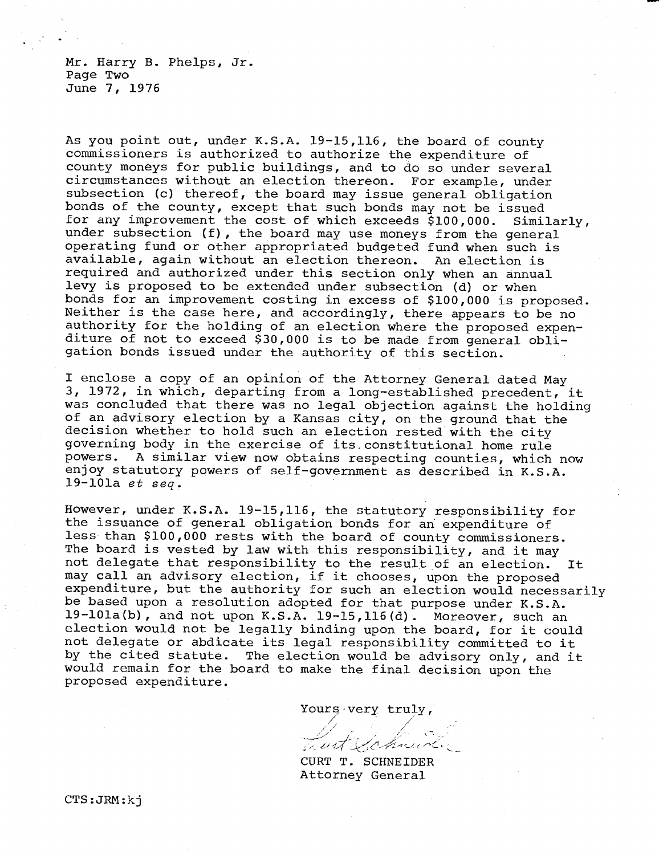Mr. Harry B. Phelps, Jr. Page Two June 7, 1976

As you point out, under K.S.A. 19-15,116, the board of county commissioners is authorized to authorize the expenditure of county moneys for public buildings, and to do so under several circumstances without an election thereon. For example, under subsection (c) thereof, the board may issue general obligation bonds of the county, except that such bonds may not be issued for any improvement the cost of which exceeds \$100,000. Similarly, under subsection (f), the board may use moneys from the general operating fund or other appropriated budgeted fund when such is available, again without an election thereon. An election is required and authorized under this section only when an annual levy is proposed to be extended under subsection (d) or when bonds for an improvement costing in excess of \$100,000 is proposed. Neither is the case here, and accordingly, there appears to be no authority for the holding of an election where the proposed expenditure of not to exceed \$30,000 is to be made from general obligation bonds issued under the authority of this section.

I enclose a copy of an opinion of the Attorney General dated May 3, 1972, in which, departing from a long-established precedent, it was concluded that there was no legal objection against the holding of an advisory election by a Kansas city, on the ground that the decision whether to hold such an election rested with the city governing body in the exercise of its, constitutional home rule powers. A similar view now obtains respecting counties, which now enjoy statutory powers of self-government as described in K.S.A. 19-101a et seq.

However, under K.S.A. 19-15,116, the statutory responsibility for the issuance of general obligation bonds for an expenditure of less than \$100,000 rests with the board of county commissioners. The board is vested by law with this responsibility, and it may not delegate that responsibility to the result of an election. It may call an advisory election, if it chooses, upon the proposed expenditure, but the authority for such an election would necessarily be based upon a resolution adopted for that purpose under K.S.A. 19-101a(b), and not upon K.S.A. 19-15,116(d). Moreover, such an election would not be legally binding upon the board, for it could not delegate or abdicate its legal responsibility committed to it by the cited statute. The election would be advisory only, and it would remain for the board to make the final decision upon the proposed expenditure.

Yours-very truly,

CURT T. SCHNEIDER Attorney General

CTS:JRM:kj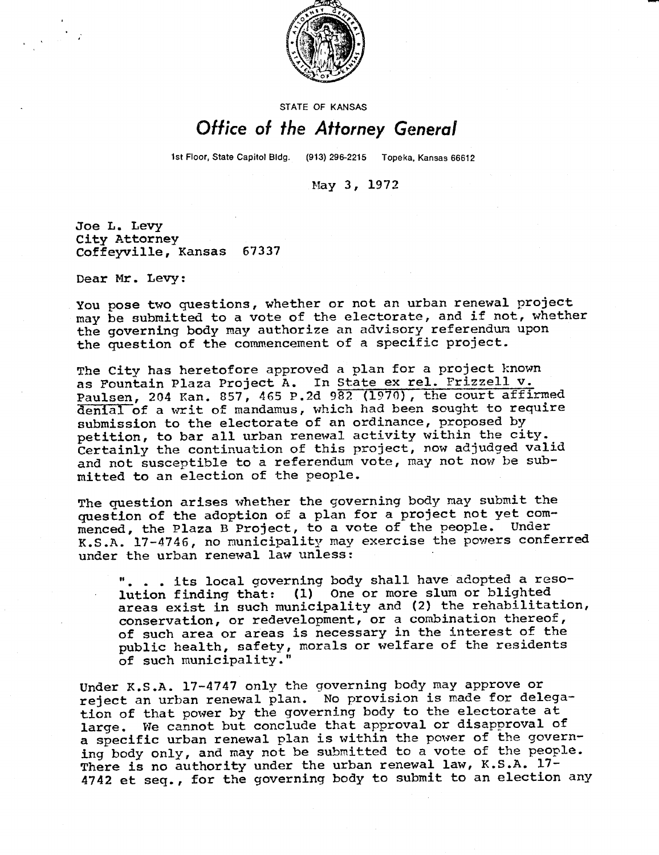

## STATE OF KANSAS

## Office of the Attorney General

1st Floor, State Capitol Bldg. (913) 296-2215 Topeka, Kansas 66612

May 3, 1972

Joe L. Levy City Attorney Coffeyville, Kansas 67337

Dear Mr. Levy:

You pose two questions, whether or not an urban renewal project may be submitted to a vote of the electorate, and if not, whether the governing body may authorize an advisory referendum upon the question of the commencement of a specific project.

The City has heretofore approved a plan for a project known as Fountain Plaza Project A. In State ex rel. Frizzell v. Paulsen, 204 Kan. 857, 465 P.2d 982 (1970), the court affirmed denial of a writ of mandamus, which had been sought to require submission to the electorate of an ordinance, proposed by petition, to bar all urban renewal activity within the city. Certainly the continuation of this project, now adjudged valid and not susceptible to a referendum vote, may not now be submitted to an election of the people.

The question arises whether the governing body may submit the question of the adoption of a plan for a project not yet commenced, the Plaza B Project, to a vote of the people. Under K.S.A. 17-4746, no municipality may exercise the powers conferred under the urban renewal law unless:

. . . its local governing body shall have adopted a resolution finding that: (1) One or more slum or blighted areas exist in such municipality and (2) the rehabilitation, conservation, or redevelopment, or a combination thereof, of such area or areas is necessary in the interest of the public health, safety, morals or welfare of the residents of such municipality."

Under K.S.A. 17-4747 only the governing body may approve or reject an urban renewal plan. No provision is made for delegation of that power by the governing body to the electorate at large. We cannot but conclude that approval or disapproval of a specific urban renewal plan is within the power of the governing body only, and may not be submitted to a vote of the people. There is no authority under the urban renewal law, K.S.A. 17-4742 et seq., for the governing body to submit to an election any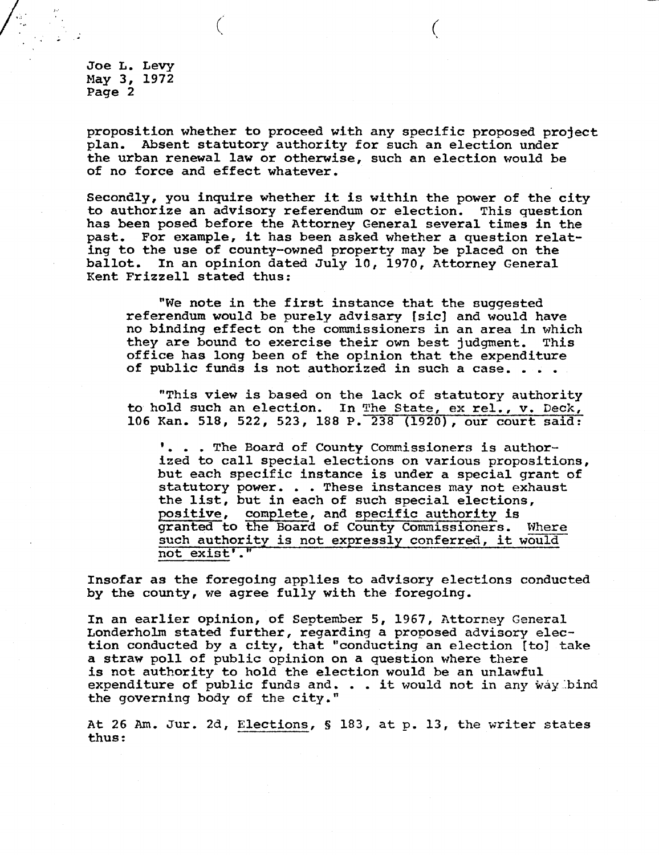Joe L. Levy May 3, 1972 Page 2

**proposition whether to proceed with any specific proposed project plan. Absent statutory authority for such an election under the urban renewal law or otherwise, such an election would be of no force and effect whatever.** 

**Secondly, you inquire whether it is within the power of the city to authorize an advisory referendum or election. This question has been posed before the Attorney General several times in the past. For example, it has been asked whether a question relating to the use of county-owned property may be placed on the ballot. In an opinion dated July 10, 1970, Attorney General Kent Frizzell stated thus:** 

**"We note in the first instance that the suggested referendum would be purely advisary [sic] and would have no binding effect on the commissioners in an area in which they are bound to exercise their own best judgment. This office has long been of the opinion that the expenditure of public funds is not authorized in such a case. . . .** 

**"This view is based on the lack of statutory authority to hold such an election. In The State, ex rel., v. Deck, 106 Kan. 518, 522, 523, 188 P. 238 (1920), our court said:** 

**. . The Board of County Commissioners is authorized to call special elections on various propositions, but each specific instance is under a special grant of statutory power. . . These instances may not exhaust the list, but in each of such special elections, positive, complete, and specific authority is granted to the Board of County Commissioners. Where such authority is not expressly conferred, it would not exist'."** 

**Insofar as the foregoing applies to advisory elections conducted by the county, we agree fully with the foregoing.** 

**In an earlier opinion, of September 5, 1967, Attorney General Londerholm stated further, regarding a proposed advisory election conducted by a city, that "conducting an election (to) take a straw poll of public opinion on a question where there is not authority to hold the election would be an unlawful expenditure of public funds and. . . it would not in any way bind the governing body of the city."** 

**At 26 Am. Jur. 2d, Elections, S 183, at p. 13, the writer states thus:**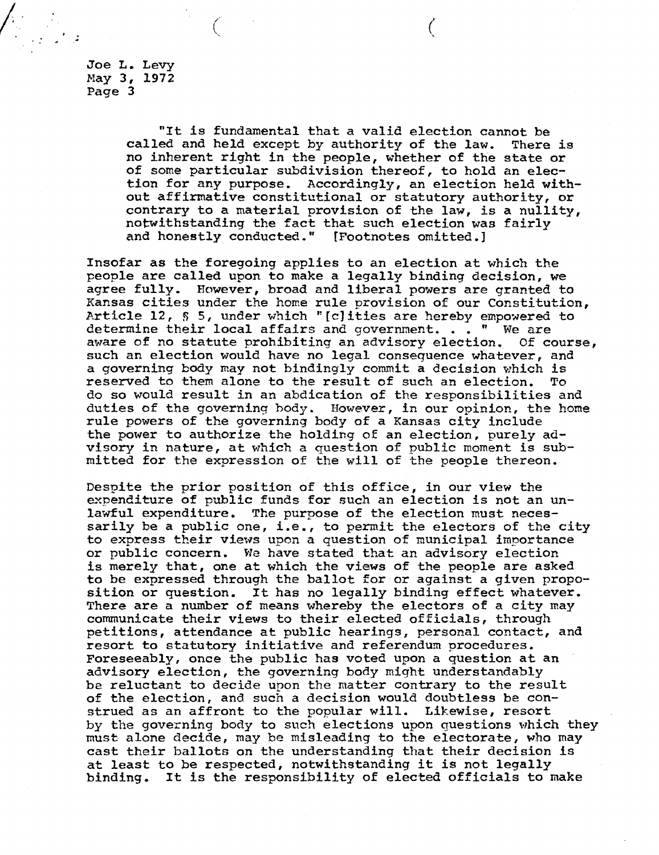Joe L. Levy May 3, 1972 Page 3

> "It is fundamental that a valid election cannot be called and held except by authority of the law. There is no inherent right in the people, whether of the state or of some particular subdivision thereof, to hold an election for any purpose. Accordingly, an election held without affirmative constitutional or statutory authority, or contrary to a material provision of the law, is a nullity, notwithstanding the fact that such election was fairly and honestly conducted." [Footnotes omitted.] and honestly conducted."

Insofar as the foregoing applies to an election at which the people are called upon to make a legally binding decision, we agree fully. However, broad and liberal powers are granted to Kansas cities under the home rule provision of our Constitution, Article 12, § 5, under which "[c]ities are hereby empowered to determine their local affairs and government. . . " We are aware of no statute prohibiting an advisory election. Of course, such an election would have no legal consequence whatever, and a governing body may not bindingly commit a decision which is reserved to them alone to the result of such an election. To do so would result in an abdication of the responsibilities and duties of the governing body. However, in our opinion, the home rule powers of the governing body of a Kansas city include the power to authorize the holding of an election, purely advisory in nature, at which a question of public moment is submitted for the expression of the will of the people thereon.

Despite the prior position of this office, in our view the expenditure of public funds for such an election is not an unlawful expenditure. The purpose of the election must necessarily be a public one, i.e., to permit the electors of the city to express their views upon a question of municipal importance or public concern. We have stated that an advisory election is merely that, one at which the views of the people are asked to be expressed through the ballot for or against a given proposition or question. It has no legally binding effect whatever. There are a number of means whereby the electors of a city may communicate their views to their elected officials, through petitions, attendance at public hearings, personal contact, and resort to statutory initiative and referendum procedures. Foreseeably, once the public has voted upon a question at an advisory election, the governing body might understandably be reluctant to decide upon the matter contrary to the result of the election, and such a decision would doubtless be construed as an affront to the popular will. Likewise, resort by the governing body to such elections upon questions which they must alone decide, may be misleading to the electorate, who may cast their ballots on the understanding that their decision is at least to be respected, notwithstanding it is not legally binding. It is the responsibility of elected officials to make